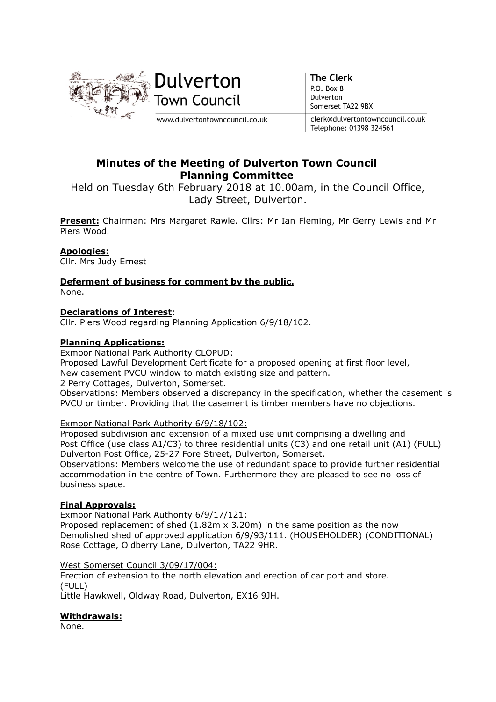

**The Clerk** P.O. Box 8 Dulverton Somerset TA22 9BX

clerk@dulvertontowncouncil.co.uk Telephone: 01398 324561

## Minutes of the Meeting of Dulverton Town Council Planning Committee

Held on Tuesday 6th February 2018 at 10.00am, in the Council Office, Lady Street, Dulverton.

Present: Chairman: Mrs Margaret Rawle. Cllrs: Mr Ian Fleming, Mr Gerry Lewis and Mr Piers Wood.

#### Apologies:

Cllr. Mrs Judy Ernest

Deferment of business for comment by the public. None.

#### Declarations of Interest:

Cllr. Piers Wood regarding Planning Application 6/9/18/102.

#### Planning Applications:

Exmoor National Park Authority CLOPUD:

Proposed Lawful Development Certificate for a proposed opening at first floor level,

New casement PVCU window to match existing size and pattern.

2 Perry Cottages, Dulverton, Somerset.

Observations: Members observed a discrepancy in the specification, whether the casement is PVCU or timber. Providing that the casement is timber members have no objections.

#### Exmoor National Park Authority 6/9/18/102:

Proposed subdivision and extension of a mixed use unit comprising a dwelling and Post Office (use class A1/C3) to three residential units (C3) and one retail unit (A1) (FULL) Dulverton Post Office, 25-27 Fore Street, Dulverton, Somerset.

Observations: Members welcome the use of redundant space to provide further residential accommodation in the centre of Town. Furthermore they are pleased to see no loss of business space.

#### Final Approvals:

Exmoor National Park Authority 6/9/17/121:

Proposed replacement of shed  $(1.82m \times 3.20m)$  in the same position as the now Demolished shed of approved application 6/9/93/111. (HOUSEHOLDER) (CONDITIONAL) Rose Cottage, Oldberry Lane, Dulverton, TA22 9HR.

West Somerset Council 3/09/17/004:

Erection of extension to the north elevation and erection of car port and store. (FULL) Little Hawkwell, Oldway Road, Dulverton, EX16 9JH.

#### Withdrawals:

None.